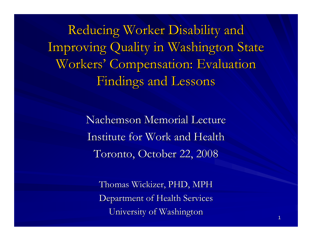Reducing Worker Disability and Improving Quality in Washington State Workers' Compensation: Evaluation Findings and Lessons

> Nachemson Memorial Lecture Institute for Work and Health Toronto, October 22, 2008

Thomas Wickizer, PHD, MPH Department of Health Services University of Washington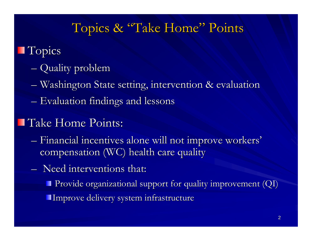### Topics & "Take Home" Points

### **T**opics

- **Hart Committee Committee** – Quality problem
- **Hart Committee Committee**  $-$  Washington State setting, intervention  $\&$  evaluation
- **Hart Committee Committee**  $-$  Evaluation findings and lessons

#### **Take Home Points:**

- **Hart Committee Committee**  $-$  Financial incentives alone will not improve workers' compensation (WC) health care quality
- $-$  Need interventions that:
	- **Provide organizational support for quality improvement (QI)** Improve delivery system infrastructure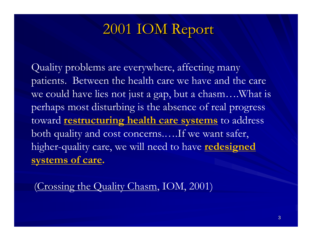## 2001 IOM Report

Quality problems are everywhere, affecting many patients. Between the health care we have and the care we could have lies not just a gap, but a chasm….What is perhaps most disturbing is the absence of real progress toward **restructuring health care systems** to address both quality and cost concerns.….If we want safer, higher-quality care, we will need to have **redesigned systems of care.**

(Crossing the Quality Chasm, IOM, 2001)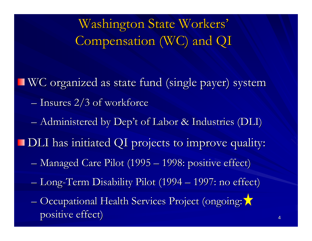Washington State Workers' Compensation (WC) and QI

WC organized as state fund (single payer) system **Hart Committee Committee**  $-$  Insures 2/3 of workforce **Hart Committee Committee** – Administered by Dep't of Labor & Industries (DLI)

**DLI** has initiated QI projects to improve quality:

- **Hart Committee Committee** – Managed Care Pilot (1995 ·  $\mathcal{L}_{\mathcal{A}}$ 1998: positive effect) 1998: positive effect)
- **Hart Committee Committee** – Long-Term Disability Pilot (1994 -1997: no effect) 1997: no effect)
- **Hart Committee Committee** – Occupational Health Services Project (ongoing: ) positive effect)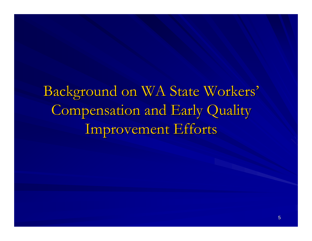Background on WA State Workers' Compensation and Early Quality Improvement Efforts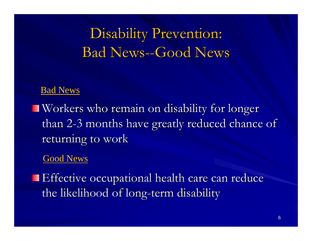# Disability Prevention: Bad News--Good News

#### Bad News

 $\blacksquare$  Workers who remain on disability for longer than 2 -3 months have greatly reduced chance of returning to work

#### Good News

**Effective occupational health care can reduce** the likelihood of long-term disability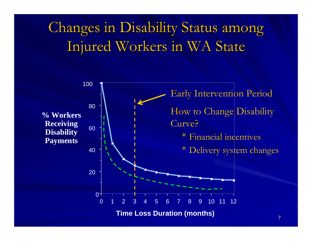# Changes in Disability Status among Injured Workers in WA State

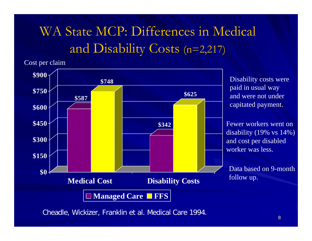# WA State MCP: Differences in Medical and Disability Costs (n=2,217)

Cost per claim



Cheadle, Wickizer, Franklin et al. Medical Care 1994.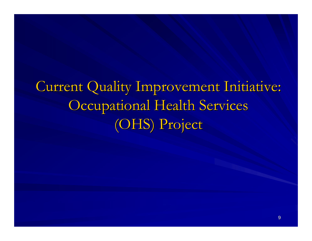Current Quality Improvement Initiative: Occupational Health Services (OHS) Project (OHS) Project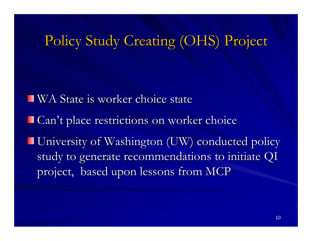## Policy Study Creating (OHS) Project

**WA State is worker choice state** Can't place restrictions on worker choice **University of Washington (UW) conducted policy** study to generate recommendations to initiate QI project, based upon lessons from MCP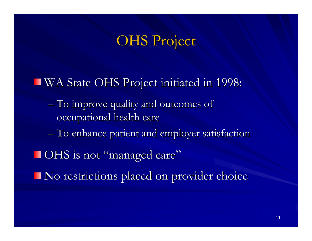### **OHS Project**

#### WA State OHS Project initiated in 1998: WA State OHS Project initiated in 1998:

- **Line Communication**  $-$  To improve quality and outcomes of  $\overline{\phantom{a}}$ occupational health care
- **Hart Committee Committee**  $-$  To enhance patient and employer satisfaction
- **OHS** is not "managed care"
- $\blacksquare$  No restrictions placed on provider choice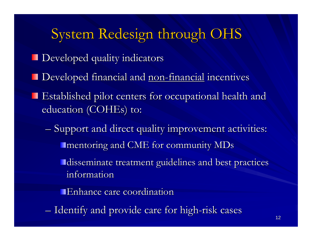# System Redesign through OHS

- **Developed quality indicators**
- Developed financial and <u>non-financial</u> incentives
- Established pilot centers for occupational health and Established pilot centers for occupational health and education (COHEs) to:
	- **Hart Committee Committee**  $-$  Support and direct quality improvement activities: **I** mentoring and CME for community  $MDs$ 
		- disseminate treatment guidelines and best practices information
		- Enhance care coordination
	- **Line Communication** – Identify and provide care for high-risk cases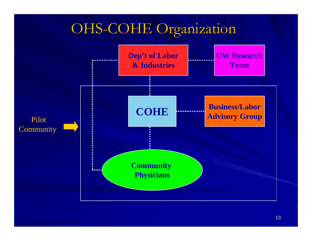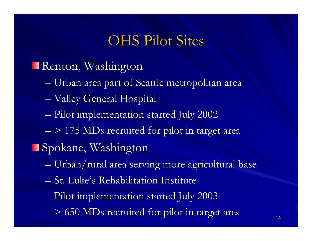### **OHS Pilot Sites**

#### Renton, Washington

- **Hart Communication** – Urban area part of Seattle metropolitan area
- **Hart Communication** – Valley General Hospital
- **Hart Committee Committee**  $-$  Pilot implementation started July 2002
- **Hart Committee Committee**  $-$  > 175 MDs recruited for pilot in target area

**Spokane, Washington** 

- **Line Communication** – Urban/rural area serving more agricultural base
- St. Luke's Rehabilitation Institute
- **Line Communication**  $-$  Pilot implementation started July 2003
- **Hart Committee Committee**  $-$  > 650 MDs recruited for pilot in target area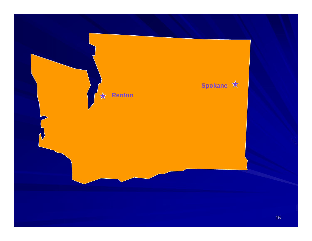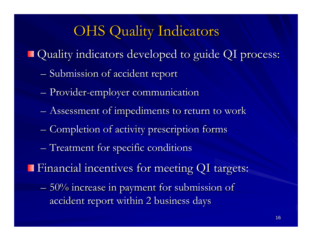## **OHS Quality Indicators**

- Quality indicators developed to guide QI process: Quality indicators developed to guide QI process:
	- **Hart Committee Committee** – Submission of accident report
	- **Hart Committee Committee** – Provider-employer communication
	- **Hart Committee Committee**  $-$  Assessment of impediments to return to work
	- **Hart Committee Committee** – Completion of activity prescription forms
	- **Hart Communication**  $-$  Treatment for specific conditions
- Financial incentives for meeting QI targets: Financial incentives for meeting QI targets:
	- **Hart Committee Committee**  $-$  50% increase in payment for submission of  $\,$ accident report within 2 business days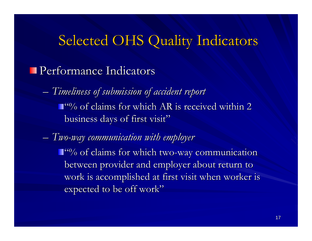## Selected OHS Quality Indicators

#### **Performance Indicators**

- **Hart Committee Committee**  *Timeliness of submission of accident report Timeliness of submission of accident report*   $\Box$ <sup>60</sup>% of claims for which AR is received within 2 business days of first visit"
- *Two -way communication with employer way communication with employer*  $\mathrm{``\%}$  of claims for which two-way communication between provider and employer about return to work is accomplished at first visit when worker is expected to be off work"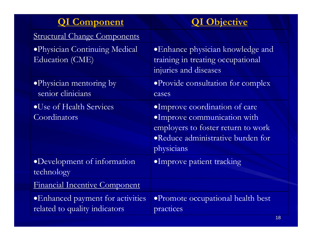| <b>QI</b> Component                                                | <b>QI Objective</b>                                                                                                                                    |
|--------------------------------------------------------------------|--------------------------------------------------------------------------------------------------------------------------------------------------------|
| <b>Structural Change Components</b>                                |                                                                                                                                                        |
| ·Physician Continuing Medical<br>Education (CME)                   | • Enhance physician knowledge and<br>training in treating occupational<br>injuries and diseases                                                        |
| • Physician mentoring by<br>senior clinicians                      | • Provide consultation for complex<br>cases                                                                                                            |
| •Use of Health Services<br>Coordinators                            | ·Improve coordination of care<br>·Improve communication with<br>employers to foster return to work<br>• Reduce administrative burden for<br>physicians |
| •Development of information<br>technology                          | ·Improve patient tracking                                                                                                                              |
| Financial Incentive Component                                      |                                                                                                                                                        |
| • Enhanced payment for activities<br>related to quality indicators | ·Promote occupational health best<br>practices                                                                                                         |

18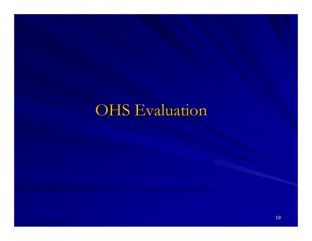# **OHS Evaluation**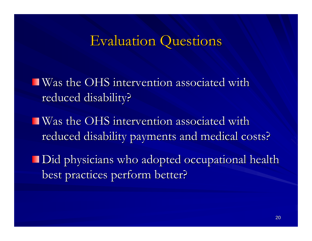### **Evaluation Questions**

 $\blacksquare$  Was the OHS intervention associated with reduced disability?

- **Was the OHS intervention associated with** reduced disability payments and medical costs?
- Did physicians who adopted occupational health best practices perform better?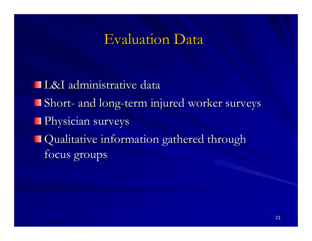### **Evaluation Data**

L&I administrative data L&I administrative data Short -- and long-term injured worker surveys **Physician surveys Qualitative information gathered through** focus groups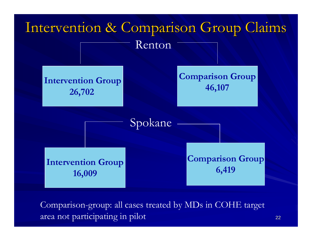

Comparison-group: all cases treated by MDs in COHE target area not participating in pilot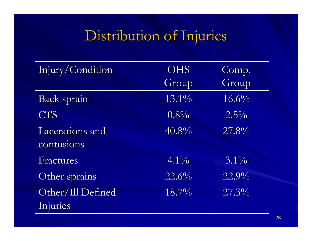# Distribution of Injuries

| Injury/Condition  | <b>OHS</b>          | Comp.               |
|-------------------|---------------------|---------------------|
|                   | Group               | Group               |
| Back sprain       | 13.1%               | 16.6%               |
| <b>CTS</b>        | $0.8\%$             | $2.5\%$             |
| Lacerations and   | 40.8%               | 27.8%               |
| contusions        |                     |                     |
| Fractures         | $4.1\%$             | $3.1\%$             |
| Other sprains     | 22.6%               | $\overline{22.9\%}$ |
| Other/Ill Defined | $\overline{18.7\%}$ | $\sqrt{27.3\%}$     |
| Injuries          |                     |                     |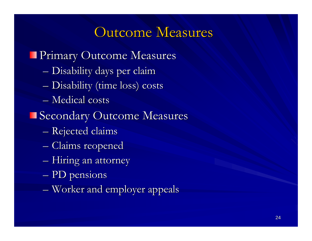### Outcome Measures

#### **Primary Outcome Measures**

- **Hart Committee Committee** – Disability days per claim
- **Hart Committee Committee** – Disability (time loss) costs
- $-$  Medical costs

#### Secondary Outcome Measures

- **Links and Community** – Rejected claims
- **Little Communication** – Claims reopened
- **Hart Committee Committee**  $-$  Hiring an attorney
- **However, Marketing Committee**  $-\,{\rm PD}$  pensions
- **Hart Communication**  $-$  Worker and employer appeals  $\blacksquare$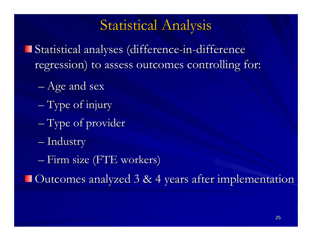### Statistical Analysis

- Statistical analyses (difference-in-difference regression) to assess outcomes controlling for:
	- **Holland Company** – Age and sex
	- $-$  Type of injury
	- **Line Communication**  $-$  Type of provider
	- **Holland Committee** — Industry
	- Firm size (FTE workers)

Outcomes analyzed 3 & 4 years after implementation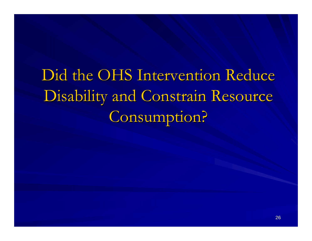Did the OHS Intervention Reduce Disability and Constrain Resource Consumption?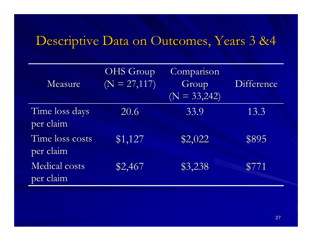### Descriptive Data on Outcomes, Years 3 &4 Descriptive Data on Outcomes, Years 3 &4

| Measure                      | <b>OHS</b> Group<br>$(N = 27,117)$ | Comparison<br>Group<br>$(N = 33,242)$ | Difference |
|------------------------------|------------------------------------|---------------------------------------|------------|
| Time loss days<br>per claim  | 20.6                               | 33.9                                  | 13.3       |
| Time loss costs<br>per claim | \$1,127                            | \$2,022                               | \$895      |
| Medical costs<br>per claim   | \$2,467                            | \$3,238                               | \$771      |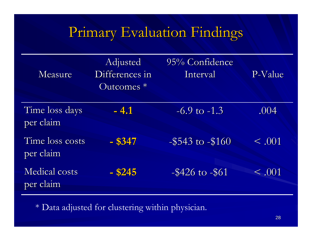# Primary Evaluation Findings

| Measure                           | Adjusted<br>Differences in<br>$O$ utcomes $*$ | 95% Confidence<br>Interval | P-Value     |
|-----------------------------------|-----------------------------------------------|----------------------------|-------------|
| Time loss days<br>per claim       | $-4.1$                                        | $-6.9$ to $-1.3$           | .004        |
| Time loss costs<br>per claim      | $-$ \$347                                     | $-$ \$543 to $-$ \$160     | $\leq .001$ |
| <b>Medical costs</b><br>per claim | $-$ \$245                                     | $-$ \$426 to $-$ \$61      | $\leq .001$ |

\* Data adjusted for clustering within physician.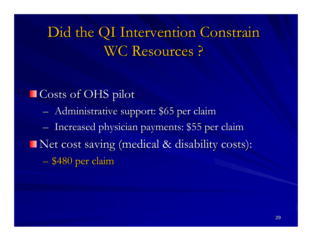Did the QI Intervention Constrain Did the QI Intervention Constrain WC Resources?

■ Costs of OHS pilot **Hart Committee Committee**  Administrative support: \$65 per claim Administrative support: \$65 per claim **Little Street Controllers**  $-$  Increased physician payments: \$55 per claim Net cost saving (medical & disability costs): – \$480 per claim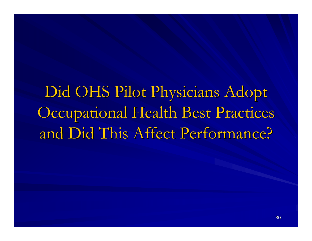Did OHS Pilot Physicians Adopt Occupational Health Best Practices and Did This Affect Performance? and Did This Affect Performance?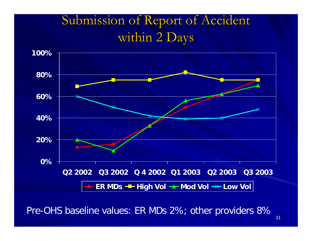## Submission of Report of Accident within 2 Days



Pre-OHS baseline values: ER MDs 2%; other providers 8%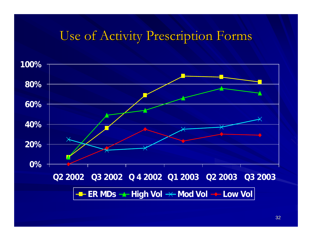#### Use of Activity Prescription Forms

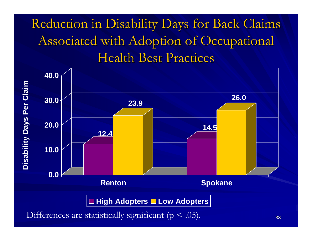# Reduction in Disability Days for Back Claims Associated with Adoption of Occupational Health Best Practices

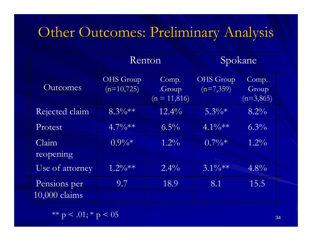## Other Outcomes: Preliminary Analysis

|                               | Renton                           |                                   | Spokane                         |                               |  |
|-------------------------------|----------------------------------|-----------------------------------|---------------------------------|-------------------------------|--|
| Outcomes                      | <b>OHS</b> Group<br>$(n=10,725)$ | Comp.<br>.Group<br>$(n = 11,816)$ | <b>OHS</b> Group<br>$(n=7,359)$ | Comp.<br>Group<br>$(n=3,865)$ |  |
| Rejected claim                | $8.3\%**$                        | $12.4\%$                          | $5.3\%*$                        | $8.2\%$                       |  |
| Protest                       | $4.7\%**$                        | $6.5\%$                           | $4.1\%**$                       | $6.3\%$                       |  |
| Claim<br>reopening            | $0.9\%*$                         | $1.2\%$                           | $0.7\sqrt[6]{\cdot}$            | $1.2\%$                       |  |
| Use of attorney               | $1.2\%**$                        | $2.4\%$                           | $3.1\%**$                       | $4.8\%$                       |  |
| Pensions per<br>10,000 claims | 9.7                              | 18.9                              | 8.1                             | 15.5                          |  |

\*\* p < .01; \* p < 05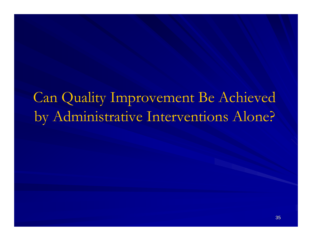# Can Quality Improvement Be Achieved by Administrative Interventions Alone?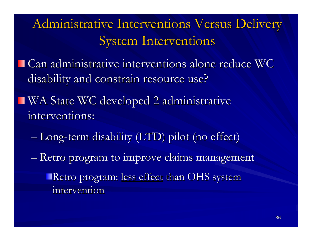## Administrative Interventions Versus Delivery System Interventions

**Can administrative interventions alone reduce WC** disability and constrain resource use?

- $\blacksquare$  WA State WC developed 2 administrative interventions: interventions:
	- **Holland Company** – Long-term disability (LTD) pilot (no effect)
	- **Line Communication** – Retro program to improve claims management
		- Retro program: less effect than OHS system intervention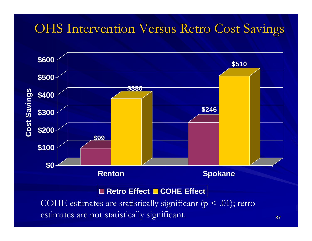### **OHS Intervention Versus Retro Cost Savings**

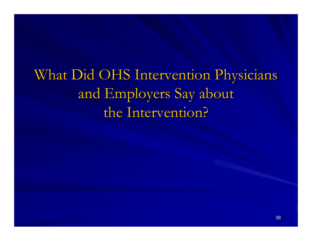What Did OHS Intervention Physicians and Employers Say about the Intervention?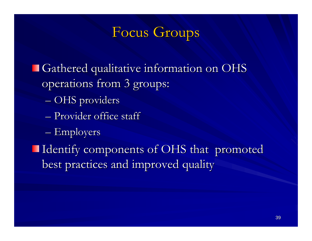### Focus Groups

Gathered qualitative information on OHS operations from 3 groups: **Hart Committee Committee** – OHS providers – Provider office staff **Hart Communication**  $-$  Employers Identify components of OHS that promoted Identify components of OHS that promoted best practices and improved quality best practices and improved quality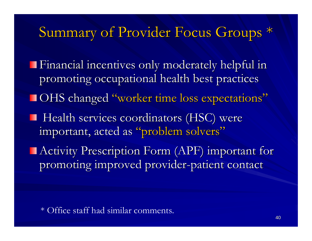### Summary of Provider Focus Groups \*

Financial incentives only moderately helpful in Financial incentives only moderately helpful in promoting occupational health best practices OHS changed "worker time loss expectations"  $\blacksquare$  Health services coordinators (HSC) were important, acted as "problem solvers"  $\blacksquare$  Activity Prescription Form (APF) important for promoting improved provider-patient contact

\* Office staff had similar comments.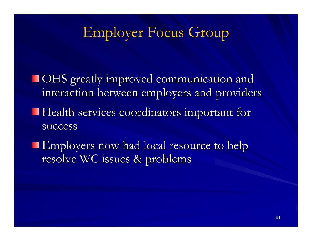### Employer Focus Group

OHS greatly improved communication and OHS greatly improved communication and interaction between employers and providers Health services coordinators important for success

Employers now had local resource to help resolve WC issues & problems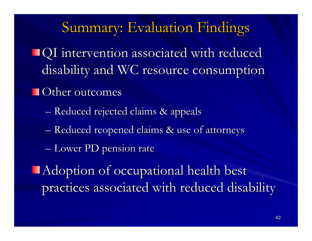### Summary: Evaluation Findings

QI intervention associated with reduced QI intervention associated with reduced disability and WC resource consumption

#### $\blacksquare$  Other outcomes

- **Hart Committee Committee** – Reduced rejected claims & appeals
- **Hart Committee Committee** – Reduced reopened claims & use of attorneys
- **Links and Contract Contract** – Lower PD pension rate
- **Adoption of occupational health best** practices associated with reduced disability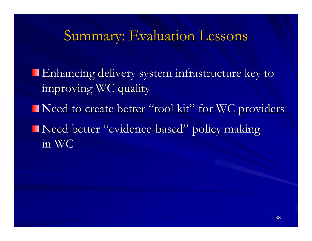### Summary: Evaluation Lessons

Enhancing delivery system infrastructure key to Enhancing delivery system infrastructure key to improving WC quality

Need to create better "tool kit" for WC providers

Need better "evidence-based" policy making in WC